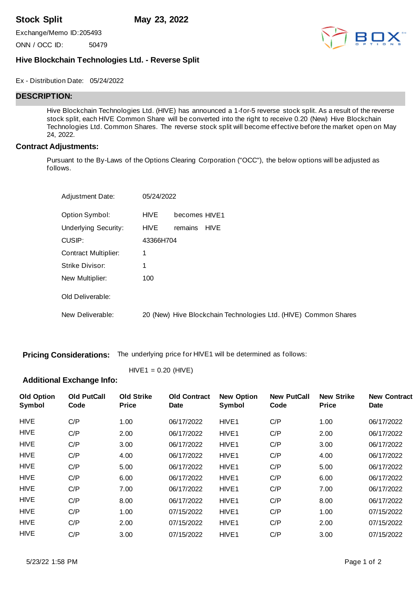**Stock Split May 23, 2022**

Exchange/Memo ID:205493

ONN / OCC ID: 50479



## **Hive Blockchain Technologies Ltd. - Reverse Split**

Ex - Distribution Date: 05/24/2022

## **DESCRIPTION:**

Hive Blockchain Technologies Ltd. (HIVE) has announced a 1-for-5 reverse stock split. As a result of the reverse stock split, each HIVE Common Share will be converted into the right to receive 0.20 (New) Hive Blockchain Technologies Ltd. Common Shares. The reverse stock split will become effective before the market open on May 24, 2022.

#### **Contract Adjustments:**

Pursuant to the By-Laws of the Options Clearing Corporation ("OCC"), the below options will be adjusted as follows.

| <b>Adjustment Date:</b>     | 05/24/2022  |                                                                 |
|-----------------------------|-------------|-----------------------------------------------------------------|
| Option Symbol:              | HIVE        | becomes HIVE1                                                   |
| <b>Underlying Security:</b> | <b>HIVE</b> | <b>HIVE</b><br>remains                                          |
| CUSIP:                      | 43366H704   |                                                                 |
| <b>Contract Multiplier:</b> | 1           |                                                                 |
| Strike Divisor:             |             |                                                                 |
| New Multiplier:             | 100         |                                                                 |
| Old Deliverable:            |             |                                                                 |
| New Deliverable:            |             | 20 (New) Hive Blockchain Technologies Ltd. (HIVE) Common Shares |

**Pricing Considerations:** The underlying price for HIVE1 will be determined as follows:

 $HIVE1 = 0.20$  (HIVE)

# **Additional Exchange Info:**

| <b>Old Option</b><br>Symbol | <b>Old PutCall</b><br>Code | <b>Old Strike</b><br><b>Price</b> | <b>Old Contract</b><br><b>Date</b> | <b>New Option</b><br>Symbol | <b>New PutCall</b><br>Code | <b>New Strike</b><br><b>Price</b> | <b>New Contract</b><br><b>Date</b> |
|-----------------------------|----------------------------|-----------------------------------|------------------------------------|-----------------------------|----------------------------|-----------------------------------|------------------------------------|
| <b>HIVE</b>                 | C/P                        | 1.00                              | 06/17/2022                         | HIVE <sub>1</sub>           | C/P                        | 1.00                              | 06/17/2022                         |
| HIVE                        | C/P                        | 2.00                              | 06/17/2022                         | HIVE <sub>1</sub>           | C/P                        | 2.00                              | 06/17/2022                         |
| <b>HIVE</b>                 | C/P                        | 3.00                              | 06/17/2022                         | HIVE <sub>1</sub>           | C/P                        | 3.00                              | 06/17/2022                         |
| <b>HIVE</b>                 | C/P                        | 4.00                              | 06/17/2022                         | HIVE <sub>1</sub>           | C/P                        | 4.00                              | 06/17/2022                         |
| <b>HIVE</b>                 | C/P                        | 5.00                              | 06/17/2022                         | HIVE <sub>1</sub>           | C/P                        | 5.00                              | 06/17/2022                         |
| <b>HIVE</b>                 | C/P                        | 6.00                              | 06/17/2022                         | HIVE <sub>1</sub>           | C/P                        | 6.00                              | 06/17/2022                         |
| <b>HIVE</b>                 | C/P                        | 7.00                              | 06/17/2022                         | HIVE <sub>1</sub>           | C/P                        | 7.00                              | 06/17/2022                         |
| <b>HIVE</b>                 | C/P                        | 8.00                              | 06/17/2022                         | HIVE <sub>1</sub>           | C/P                        | 8.00                              | 06/17/2022                         |
| <b>HIVE</b>                 | C/P                        | 1.00                              | 07/15/2022                         | HIVE <sub>1</sub>           | C/P                        | 1.00                              | 07/15/2022                         |
| <b>HIVE</b>                 | C/P                        | 2.00                              | 07/15/2022                         | HIVE <sub>1</sub>           | C/P                        | 2.00                              | 07/15/2022                         |
| <b>HIVE</b>                 | C/P                        | 3.00                              | 07/15/2022                         | HIVE <sub>1</sub>           | C/P                        | 3.00                              | 07/15/2022                         |